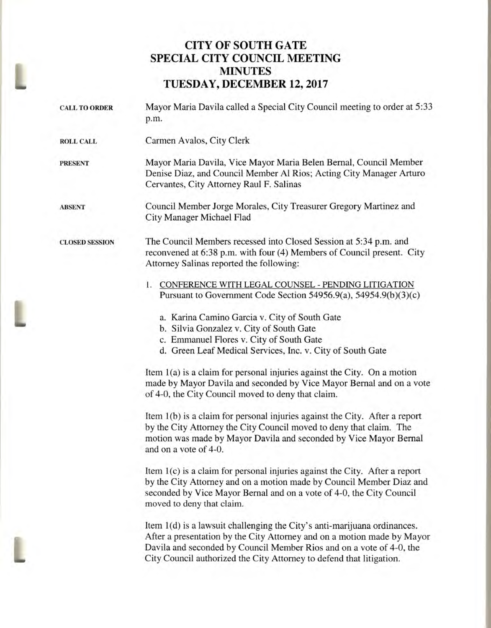## **CITY OF SOUTH GATE SPECIAL CITY COUNCIL MEETING MINUTES TUESDAY, DECEMBER 12, 2017**

|  | <b>CALL TO ORDER</b>  | Mayor Maria Davila called a Special City Council meeting to order at 5:33<br>p.m.                                                                                                                                                                                                                   |
|--|-----------------------|-----------------------------------------------------------------------------------------------------------------------------------------------------------------------------------------------------------------------------------------------------------------------------------------------------|
|  | <b>ROLL CALL</b>      | Carmen Avalos, City Clerk                                                                                                                                                                                                                                                                           |
|  | <b>PRESENT</b>        | Mayor Maria Davila, Vice Mayor Maria Belen Bernal, Council Member<br>Denise Diaz, and Council Member Al Rios; Acting City Manager Arturo<br>Cervantes, City Attorney Raul F. Salinas                                                                                                                |
|  | <b>ABSENT</b>         | Council Member Jorge Morales, City Treasurer Gregory Martinez and<br>City Manager Michael Flad                                                                                                                                                                                                      |
|  | <b>CLOSED SESSION</b> | The Council Members recessed into Closed Session at 5:34 p.m. and<br>reconvened at 6:38 p.m. with four (4) Members of Council present. City<br>Attorney Salinas reported the following:                                                                                                             |
|  |                       | 1. CONFERENCE WITH LEGAL COUNSEL - PENDING LITIGATION<br>Pursuant to Government Code Section 54956.9(a), 54954.9(b)(3)(c)                                                                                                                                                                           |
|  |                       | a. Karina Camino Garcia v. City of South Gate<br>b. Silvia Gonzalez v. City of South Gate<br>c. Emmanuel Flores v. City of South Gate                                                                                                                                                               |
|  |                       | d. Green Leaf Medical Services, Inc. v. City of South Gate                                                                                                                                                                                                                                          |
|  |                       | Item 1(a) is a claim for personal injuries against the City. On a motion<br>made by Mayor Davila and seconded by Vice Mayor Bernal and on a vote<br>of 4-0, the City Council moved to deny that claim.                                                                                              |
|  |                       | Item 1(b) is a claim for personal injuries against the City. After a report<br>by the City Attorney the City Council moved to deny that claim. The<br>motion was made by Mayor Davila and seconded by Vice Mayor Bernal<br>and on a vote of 4-0.                                                    |
|  |                       | Item 1(c) is a claim for personal injuries against the City. After a report<br>by the City Attorney and on a motion made by Council Member Diaz and<br>seconded by Vice Mayor Bernal and on a vote of 4-0, the City Council<br>moved to deny that claim.                                            |
|  |                       | Item 1(d) is a lawsuit challenging the City's anti-marijuana ordinances.<br>After a presentation by the City Attorney and on a motion made by Mayor<br>Davila and seconded by Council Member Rios and on a vote of 4-0, the<br>City Council authorized the City Attorney to defend that litigation. |
|  |                       |                                                                                                                                                                                                                                                                                                     |